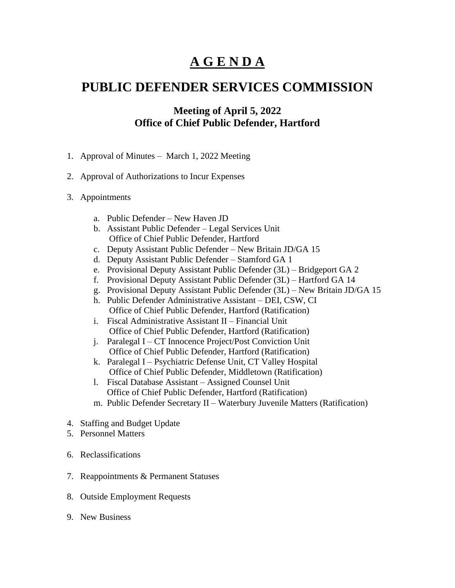## **A G E N D A**

## **PUBLIC DEFENDER SERVICES COMMISSION**

## **Meeting of April 5, 2022 Office of Chief Public Defender, Hartford**

- 1. Approval of Minutes March 1, 2022 Meeting
- 2. Approval of Authorizations to Incur Expenses
- 3. Appointments
	- a. Public Defender New Haven JD
	- b. Assistant Public Defender Legal Services Unit Office of Chief Public Defender, Hartford
	- c. Deputy Assistant Public Defender New Britain JD/GA 15
	- d. Deputy Assistant Public Defender Stamford GA 1
	- e. Provisional Deputy Assistant Public Defender (3L) Bridgeport GA 2
	- f. Provisional Deputy Assistant Public Defender (3L) Hartford GA 14
	- g. Provisional Deputy Assistant Public Defender (3L) New Britain JD/GA 15
	- h. Public Defender Administrative Assistant DEI, CSW, CI Office of Chief Public Defender, Hartford (Ratification)
	- i. Fiscal Administrative Assistant II Financial Unit Office of Chief Public Defender, Hartford (Ratification)
	- j. Paralegal I CT Innocence Project/Post Conviction Unit Office of Chief Public Defender, Hartford (Ratification)
	- k. Paralegal I Psychiatric Defense Unit, CT Valley Hospital Office of Chief Public Defender, Middletown (Ratification)
	- l. Fiscal Database Assistant Assigned Counsel Unit Office of Chief Public Defender, Hartford (Ratification)
	- m. Public Defender Secretary II Waterbury Juvenile Matters (Ratification)
- 4. Staffing and Budget Update
- 5. Personnel Matters
- 6. Reclassifications
- 7. Reappointments & Permanent Statuses
- 8. Outside Employment Requests
- 9. New Business